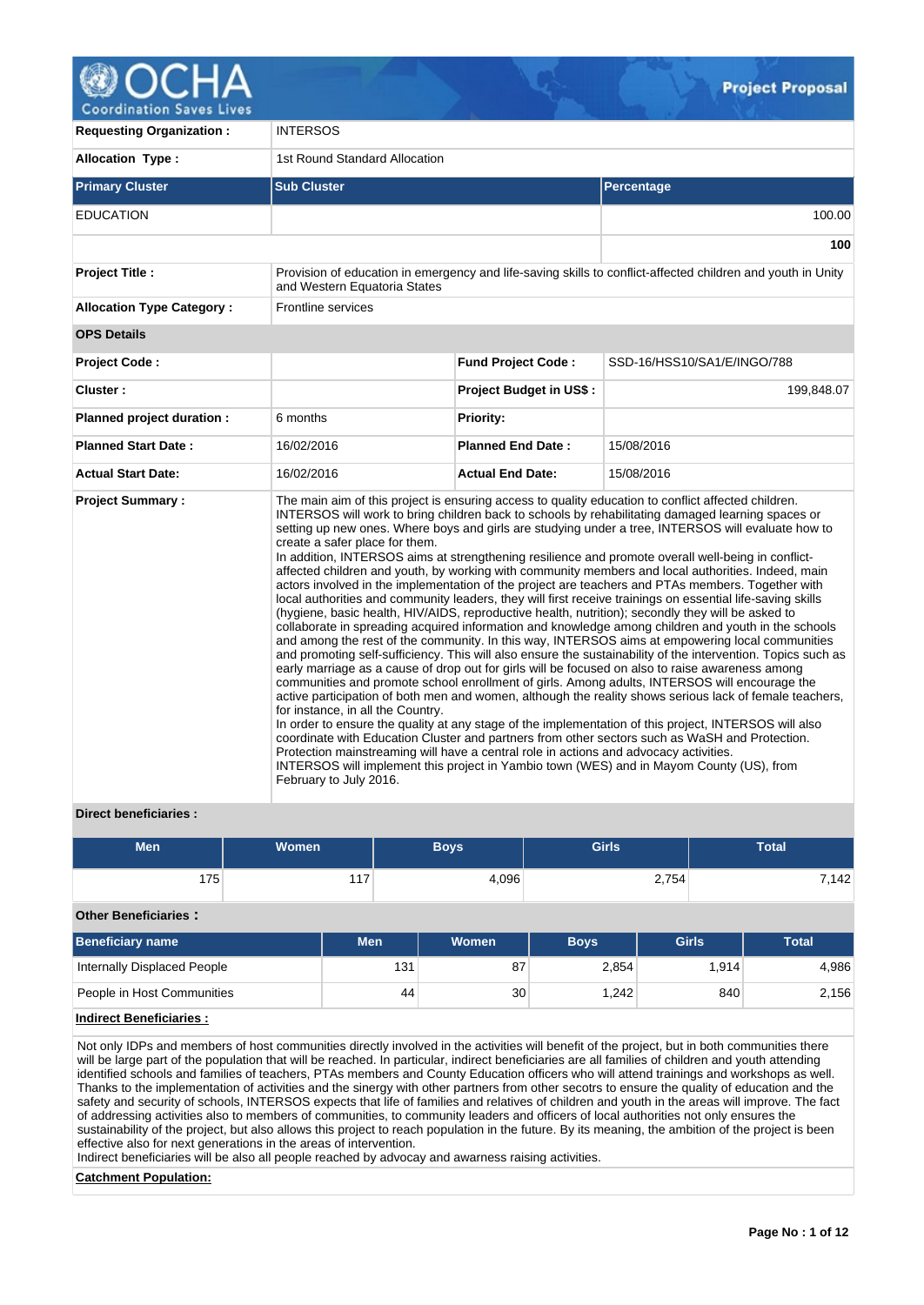

**Coordination Saves Lives** 

| <b>Requesting Organization:</b>  | <b>INTERSOS</b>                                                                                                                                                                        |                                |                                                                                                                                                                                                                                                                                                                                                                                                                                                                                                                                                                                                                                                                                                                                                                                                                                                                                                                                                                                                                                                                                                                                                                                                                                                                                                                                                                                                                                                                                                                                                                                                                                                                                                                                                                                                     |  |  |  |  |  |
|----------------------------------|----------------------------------------------------------------------------------------------------------------------------------------------------------------------------------------|--------------------------------|-----------------------------------------------------------------------------------------------------------------------------------------------------------------------------------------------------------------------------------------------------------------------------------------------------------------------------------------------------------------------------------------------------------------------------------------------------------------------------------------------------------------------------------------------------------------------------------------------------------------------------------------------------------------------------------------------------------------------------------------------------------------------------------------------------------------------------------------------------------------------------------------------------------------------------------------------------------------------------------------------------------------------------------------------------------------------------------------------------------------------------------------------------------------------------------------------------------------------------------------------------------------------------------------------------------------------------------------------------------------------------------------------------------------------------------------------------------------------------------------------------------------------------------------------------------------------------------------------------------------------------------------------------------------------------------------------------------------------------------------------------------------------------------------------------|--|--|--|--|--|
| <b>Allocation Type:</b>          | 1st Round Standard Allocation                                                                                                                                                          |                                |                                                                                                                                                                                                                                                                                                                                                                                                                                                                                                                                                                                                                                                                                                                                                                                                                                                                                                                                                                                                                                                                                                                                                                                                                                                                                                                                                                                                                                                                                                                                                                                                                                                                                                                                                                                                     |  |  |  |  |  |
| <b>Primary Cluster</b>           | <b>Sub Cluster</b>                                                                                                                                                                     |                                | Percentage                                                                                                                                                                                                                                                                                                                                                                                                                                                                                                                                                                                                                                                                                                                                                                                                                                                                                                                                                                                                                                                                                                                                                                                                                                                                                                                                                                                                                                                                                                                                                                                                                                                                                                                                                                                          |  |  |  |  |  |
| <b>EDUCATION</b>                 |                                                                                                                                                                                        |                                | 100.00                                                                                                                                                                                                                                                                                                                                                                                                                                                                                                                                                                                                                                                                                                                                                                                                                                                                                                                                                                                                                                                                                                                                                                                                                                                                                                                                                                                                                                                                                                                                                                                                                                                                                                                                                                                              |  |  |  |  |  |
|                                  |                                                                                                                                                                                        |                                | 100                                                                                                                                                                                                                                                                                                                                                                                                                                                                                                                                                                                                                                                                                                                                                                                                                                                                                                                                                                                                                                                                                                                                                                                                                                                                                                                                                                                                                                                                                                                                                                                                                                                                                                                                                                                                 |  |  |  |  |  |
| <b>Project Title:</b>            | and Western Equatoria States                                                                                                                                                           |                                | Provision of education in emergency and life-saving skills to conflict-affected children and youth in Unity                                                                                                                                                                                                                                                                                                                                                                                                                                                                                                                                                                                                                                                                                                                                                                                                                                                                                                                                                                                                                                                                                                                                                                                                                                                                                                                                                                                                                                                                                                                                                                                                                                                                                         |  |  |  |  |  |
| <b>Allocation Type Category:</b> | Frontline services                                                                                                                                                                     |                                |                                                                                                                                                                                                                                                                                                                                                                                                                                                                                                                                                                                                                                                                                                                                                                                                                                                                                                                                                                                                                                                                                                                                                                                                                                                                                                                                                                                                                                                                                                                                                                                                                                                                                                                                                                                                     |  |  |  |  |  |
| <b>OPS Details</b>               |                                                                                                                                                                                        |                                |                                                                                                                                                                                                                                                                                                                                                                                                                                                                                                                                                                                                                                                                                                                                                                                                                                                                                                                                                                                                                                                                                                                                                                                                                                                                                                                                                                                                                                                                                                                                                                                                                                                                                                                                                                                                     |  |  |  |  |  |
| <b>Project Code:</b>             |                                                                                                                                                                                        | <b>Fund Project Code:</b>      | SSD-16/HSS10/SA1/E/INGO/788                                                                                                                                                                                                                                                                                                                                                                                                                                                                                                                                                                                                                                                                                                                                                                                                                                                                                                                                                                                                                                                                                                                                                                                                                                                                                                                                                                                                                                                                                                                                                                                                                                                                                                                                                                         |  |  |  |  |  |
| Cluster:                         |                                                                                                                                                                                        | <b>Project Budget in US\$:</b> | 199,848.07                                                                                                                                                                                                                                                                                                                                                                                                                                                                                                                                                                                                                                                                                                                                                                                                                                                                                                                                                                                                                                                                                                                                                                                                                                                                                                                                                                                                                                                                                                                                                                                                                                                                                                                                                                                          |  |  |  |  |  |
| Planned project duration :       | 6 months                                                                                                                                                                               | <b>Priority:</b>               |                                                                                                                                                                                                                                                                                                                                                                                                                                                                                                                                                                                                                                                                                                                                                                                                                                                                                                                                                                                                                                                                                                                                                                                                                                                                                                                                                                                                                                                                                                                                                                                                                                                                                                                                                                                                     |  |  |  |  |  |
| <b>Planned Start Date:</b>       | 16/02/2016                                                                                                                                                                             | <b>Planned End Date:</b>       | 15/08/2016                                                                                                                                                                                                                                                                                                                                                                                                                                                                                                                                                                                                                                                                                                                                                                                                                                                                                                                                                                                                                                                                                                                                                                                                                                                                                                                                                                                                                                                                                                                                                                                                                                                                                                                                                                                          |  |  |  |  |  |
| <b>Actual Start Date:</b>        | 16/02/2016                                                                                                                                                                             | <b>Actual End Date:</b>        | 15/08/2016                                                                                                                                                                                                                                                                                                                                                                                                                                                                                                                                                                                                                                                                                                                                                                                                                                                                                                                                                                                                                                                                                                                                                                                                                                                                                                                                                                                                                                                                                                                                                                                                                                                                                                                                                                                          |  |  |  |  |  |
| <b>Project Summary:</b>          | create a safer place for them.<br>for instance, in all the Country.<br>Protection mainstreaming will have a central role in actions and advocacy activities.<br>February to July 2016. |                                | The main aim of this project is ensuring access to quality education to conflict affected children.<br>INTERSOS will work to bring children back to schools by rehabilitating damaged learning spaces or<br>setting up new ones. Where boys and girls are studying under a tree, INTERSOS will evaluate how to<br>In addition, INTERSOS aims at strengthening resilience and promote overall well-being in conflict-<br>affected children and youth, by working with community members and local authorities. Indeed, main<br>actors involved in the implementation of the project are teachers and PTAs members. Together with<br>local authorities and community leaders, they will first receive trainings on essential life-saving skills<br>(hygiene, basic health, HIV/AIDS, reproductive health, nutrition); secondly they will be asked to<br>collaborate in spreading acquired information and knowledge among children and youth in the schools<br>and among the rest of the community. In this way, INTERSOS aims at empowering local communities<br>and promoting self-sufficiency. This will also ensure the sustainability of the intervention. Topics such as<br>early marriage as a cause of drop out for girls will be focused on also to raise awareness among<br>communities and promote school enrollment of girls. Among adults, INTERSOS will encourage the<br>active participation of both men and women, although the reality shows serious lack of female teachers,<br>In order to ensure the quality at any stage of the implementation of this project, INTERSOS will also<br>coordinate with Education Cluster and partners from other sectors such as WaSH and Protection.<br>INTERSOS will implement this project in Yambio town (WES) and in Mayom County (US), from |  |  |  |  |  |

## **Direct beneficiaries :**

| <b>Men</b>                  | <b>Women</b> | <b>Boys</b> | <b>Girls</b> | <b>Total</b> |
|-----------------------------|--------------|-------------|--------------|--------------|
| 175 <sub>1</sub>            | 117          | 4,096       | 2,754        | 7,142        |
| <b>Other Beneficiaries:</b> |              |             |              |              |

| <b>Beneficiary name</b>     | <b>Men</b> | <b>Women</b> | <b>Boys</b>        | <b>Girls</b> | <b>Total</b> |
|-----------------------------|------------|--------------|--------------------|--------------|--------------|
| Internally Displaced People | 131        | 87           | 2.854              | ' 914. ،     | 4,986        |
| People in Host Communities  | 44         | 30           | 1.242 <sub>1</sub> | 840          | 2,156        |

## **Indirect Beneficiaries :**

Not only IDPs and members of host communities directly involved in the activities will benefit of the project, but in both communities there will be large part of the population that will be reached. In particular, indirect beneficiaries are all families of children and youth attending identified schools and families of teachers, PTAs members and County Education officers who will attend trainings and workshops as well. Thanks to the implementation of activities and the sinergy with other partners from other secotrs to ensure the quality of education and the safety and security of schools, INTERSOS expects that life of families and relatives of children and youth in the areas will improve. The fact of addressing activities also to members of communities, to community leaders and officers of local authorities not only ensures the sustainability of the project, but also allows this project to reach population in the future. By its meaning, the ambition of the project is been effective also for next generations in the areas of intervention.

Indirect beneficiaries will be also all people reached by advocay and awarness raising activities.

## **Catchment Population:**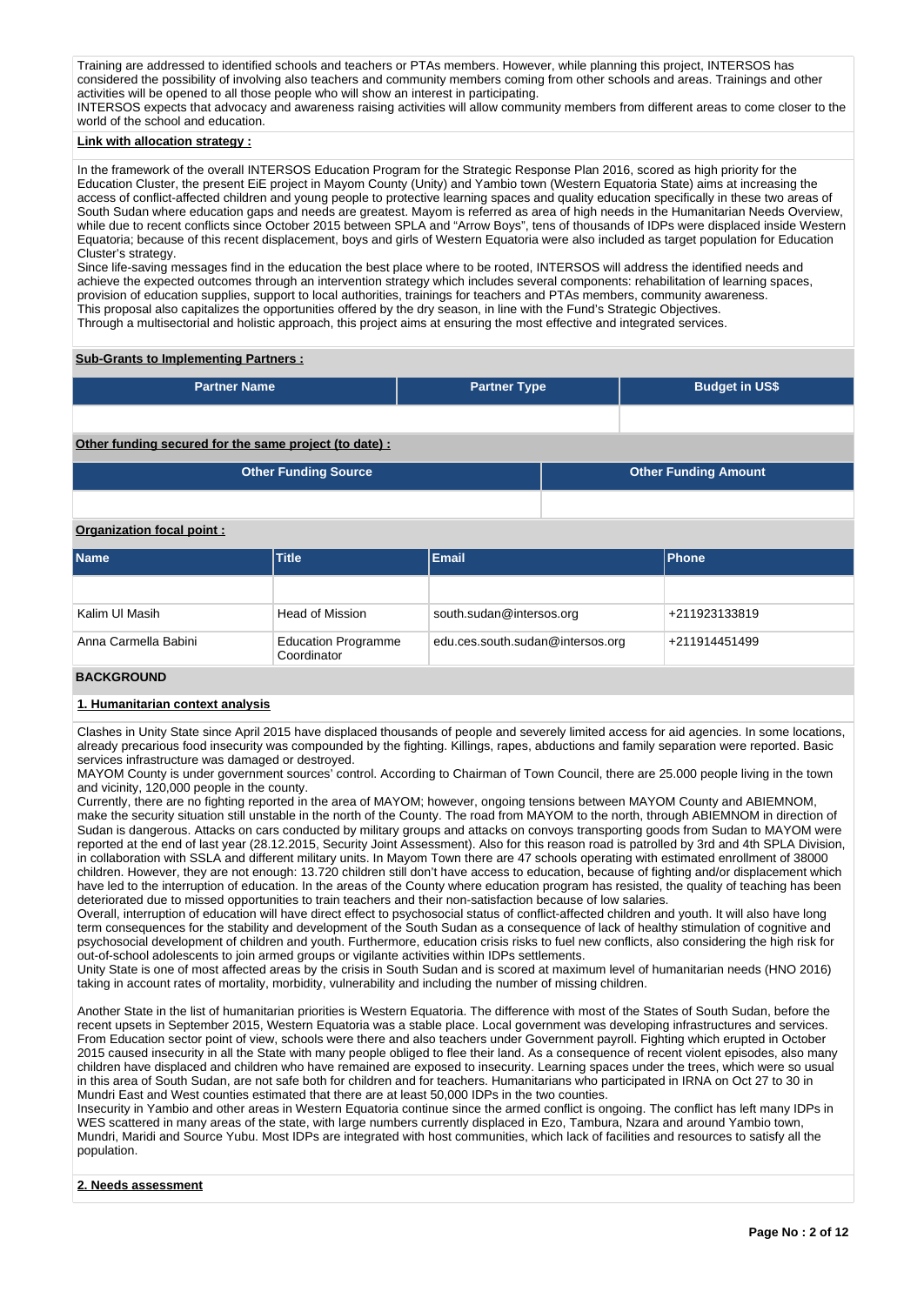Training are addressed to identified schools and teachers or PTAs members. However, while planning this project, INTERSOS has considered the possibility of involving also teachers and community members coming from other schools and areas. Trainings and other activities will be opened to all those people who will show an interest in participating. INTERSOS expects that advocacy and awareness raising activities will allow community members from different areas to come closer to the world of the school and education.

### **Link with allocation strategy :**

In the framework of the overall INTERSOS Education Program for the Strategic Response Plan 2016, scored as high priority for the Education Cluster, the present EiE project in Mayom County (Unity) and Yambio town (Western Equatoria State) aims at increasing the access of conflict-affected children and young people to protective learning spaces and quality education specifically in these two areas of South Sudan where education gaps and needs are greatest. Mayom is referred as area of high needs in the Humanitarian Needs Overview, while due to recent conflicts since October 2015 between SPLA and "Arrow Boys", tens of thousands of IDPs were displaced inside Western Equatoria; because of this recent displacement, boys and girls of Western Equatoria were also included as target population for Education Cluster's strategy.

Since life-saving messages find in the education the best place where to be rooted, INTERSOS will address the identified needs and achieve the expected outcomes through an intervention strategy which includes several components: rehabilitation of learning spaces, provision of education supplies, support to local authorities, trainings for teachers and PTAs members, community awareness. This proposal also capitalizes the opportunities offered by the dry season, in line with the Fund's Strategic Objectives. Through a multisectorial and holistic approach, this project aims at ensuring the most effective and integrated services.

## **Sub-Grants to Implementing Partners :**

| <b>Partner Name</b>                                   | <b>Partner Type</b> | <b>Budget in US\$</b> |
|-------------------------------------------------------|---------------------|-----------------------|
|                                                       |                     |                       |
| Other funding secured for the same project (to date): |                     |                       |

**Other Funding Source Other Funding Amount**

### **Organization focal point :**

| <b>Name</b>          | <b>Title</b>                              | <b>Email</b>                     | <b>Phone</b>  |
|----------------------|-------------------------------------------|----------------------------------|---------------|
|                      |                                           |                                  |               |
| Kalim UI Masih       | <b>Head of Mission</b>                    | south.sudan@intersos.org         | +211923133819 |
| Anna Carmella Babini | <b>Education Programme</b><br>Coordinator | edu.ces.south.sudan@intersos.org | +211914451499 |

### **BACKGROUND**

## **1. Humanitarian context analysis**

Clashes in Unity State since April 2015 have displaced thousands of people and severely limited access for aid agencies. In some locations, already precarious food insecurity was compounded by the fighting. Killings, rapes, abductions and family separation were reported. Basic services infrastructure was damaged or destroyed.

MAYOM County is under government sources' control. According to Chairman of Town Council, there are 25.000 people living in the town and vicinity, 120,000 people in the county.

Currently, there are no fighting reported in the area of MAYOM; however, ongoing tensions between MAYOM County and ABIEMNOM, make the security situation still unstable in the north of the County. The road from MAYOM to the north, through ABIEMNOM in direction of Sudan is dangerous. Attacks on cars conducted by military groups and attacks on convoys transporting goods from Sudan to MAYOM were reported at the end of last year (28.12.2015, Security Joint Assessment). Also for this reason road is patrolled by 3rd and 4th SPLA Division, in collaboration with SSLA and different military units. In Mayom Town there are 47 schools operating with estimated enrollment of 38000 children. However, they are not enough: 13.720 children still don't have access to education, because of fighting and/or displacement which have led to the interruption of education. In the areas of the County where education program has resisted, the quality of teaching has been deteriorated due to missed opportunities to train teachers and their non-satisfaction because of low salaries.

Overall, interruption of education will have direct effect to psychosocial status of conflict-affected children and youth. It will also have long term consequences for the stability and development of the South Sudan as a consequence of lack of healthy stimulation of cognitive and psychosocial development of children and youth. Furthermore, education crisis risks to fuel new conflicts, also considering the high risk for out-of-school adolescents to join armed groups or vigilante activities within IDPs settlements.

Unity State is one of most affected areas by the crisis in South Sudan and is scored at maximum level of humanitarian needs (HNO 2016) taking in account rates of mortality, morbidity, vulnerability and including the number of missing children.

Another State in the list of humanitarian priorities is Western Equatoria. The difference with most of the States of South Sudan, before the recent upsets in September 2015, Western Equatoria was a stable place. Local government was developing infrastructures and services. From Education sector point of view, schools were there and also teachers under Government payroll. Fighting which erupted in October 2015 caused insecurity in all the State with many people obliged to flee their land. As a consequence of recent violent episodes, also many children have displaced and children who have remained are exposed to insecurity. Learning spaces under the trees, which were so usual in this area of South Sudan, are not safe both for children and for teachers. Humanitarians who participated in IRNA on Oct 27 to 30 in Mundri East and West counties estimated that there are at least 50,000 IDPs in the two counties.

Insecurity in Yambio and other areas in Western Equatoria continue since the armed conflict is ongoing. The conflict has left many IDPs in WES scattered in many areas of the state, with large numbers currently displaced in Ezo, Tambura, Nzara and around Yambio town, Mundri, Maridi and Source Yubu. Most IDPs are integrated with host communities, which lack of facilities and resources to satisfy all the population.

### **2. Needs assessment**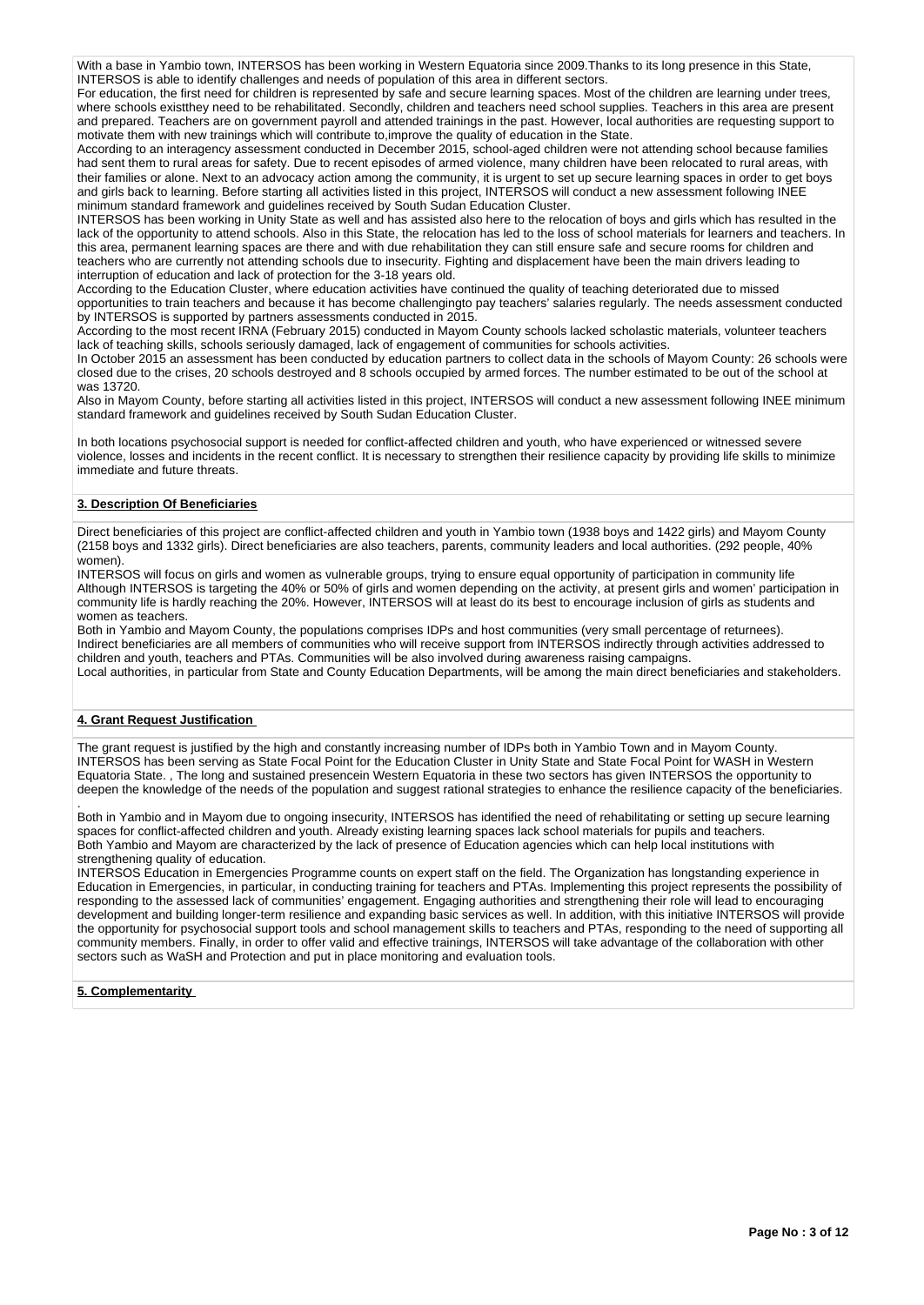With a base in Yambio town, INTERSOS has been working in Western Equatoria since 2009.Thanks to its long presence in this State, INTERSOS is able to identify challenges and needs of population of this area in different sectors.

For education, the first need for children is represented by safe and secure learning spaces. Most of the children are learning under trees, where schools existthey need to be rehabilitated. Secondly, children and teachers need school supplies. Teachers in this area are present and prepared. Teachers are on government payroll and attended trainings in the past. However, local authorities are requesting support to motivate them with new trainings which will contribute to,improve the quality of education in the State.

According to an interagency assessment conducted in December 2015, school-aged children were not attending school because families had sent them to rural areas for safety. Due to recent episodes of armed violence, many children have been relocated to rural areas, with their families or alone. Next to an advocacy action among the community, it is urgent to set up secure learning spaces in order to get boys and girls back to learning. Before starting all activities listed in this project, INTERSOS will conduct a new assessment following INEE minimum standard framework and guidelines received by South Sudan Education Cluster.

INTERSOS has been working in Unity State as well and has assisted also here to the relocation of boys and girls which has resulted in the lack of the opportunity to attend schools. Also in this State, the relocation has led to the loss of school materials for learners and teachers. In this area, permanent learning spaces are there and with due rehabilitation they can still ensure safe and secure rooms for children and teachers who are currently not attending schools due to insecurity. Fighting and displacement have been the main drivers leading to interruption of education and lack of protection for the 3-18 years old.

According to the Education Cluster, where education activities have continued the quality of teaching deteriorated due to missed opportunities to train teachers and because it has become challengingto pay teachers' salaries regularly. The needs assessment conducted by INTERSOS is supported by partners assessments conducted in 2015.

According to the most recent IRNA (February 2015) conducted in Mayom County schools lacked scholastic materials, volunteer teachers lack of teaching skills, schools seriously damaged, lack of engagement of communities for schools activities.

In October 2015 an assessment has been conducted by education partners to collect data in the schools of Mayom County: 26 schools were closed due to the crises, 20 schools destroyed and 8 schools occupied by armed forces. The number estimated to be out of the school at was 13720.

Also in Mayom County, before starting all activities listed in this project, INTERSOS will conduct a new assessment following INEE minimum standard framework and guidelines received by South Sudan Education Cluster.

In both locations psychosocial support is needed for conflict-affected children and youth, who have experienced or witnessed severe violence, losses and incidents in the recent conflict. It is necessary to strengthen their resilience capacity by providing life skills to minimize immediate and future threats.

## **3. Description Of Beneficiaries**

Direct beneficiaries of this project are conflict-affected children and youth in Yambio town (1938 boys and 1422 girls) and Mayom County (2158 boys and 1332 girls). Direct beneficiaries are also teachers, parents, community leaders and local authorities. (292 people, 40% women).

INTERSOS will focus on girls and women as vulnerable groups, trying to ensure equal opportunity of participation in community life Although INTERSOS is targeting the 40% or 50% of girls and women depending on the activity, at present girls and women' participation in community life is hardly reaching the 20%. However, INTERSOS will at least do its best to encourage inclusion of girls as students and women as teachers.

Both in Yambio and Mayom County, the populations comprises IDPs and host communities (very small percentage of returnees). Indirect beneficiaries are all members of communities who will receive support from INTERSOS indirectly through activities addressed to children and youth, teachers and PTAs. Communities will be also involved during awareness raising campaigns. Local authorities, in particular from State and County Education Departments, will be among the main direct beneficiaries and stakeholders.

## **4. Grant Request Justification**

The grant request is justified by the high and constantly increasing number of IDPs both in Yambio Town and in Mayom County. INTERSOS has been serving as State Focal Point for the Education Cluster in Unity State and State Focal Point for WASH in Western Equatoria State. , The long and sustained presencein Western Equatoria in these two sectors has given INTERSOS the opportunity to deepen the knowledge of the needs of the population and suggest rational strategies to enhance the resilience capacity of the beneficiaries.

. Both in Yambio and in Mayom due to ongoing insecurity, INTERSOS has identified the need of rehabilitating or setting up secure learning spaces for conflict-affected children and youth. Already existing learning spaces lack school materials for pupils and teachers. Both Yambio and Mayom are characterized by the lack of presence of Education agencies which can help local institutions with strengthening quality of education.

INTERSOS Education in Emergencies Programme counts on expert staff on the field. The Organization has longstanding experience in Education in Emergencies, in particular, in conducting training for teachers and PTAs. Implementing this project represents the possibility of responding to the assessed lack of communities' engagement. Engaging authorities and strengthening their role will lead to encouraging development and building longer-term resilience and expanding basic services as well. In addition, with this initiative INTERSOS will provide the opportunity for psychosocial support tools and school management skills to teachers and PTAs, responding to the need of supporting all community members. Finally, in order to offer valid and effective trainings, INTERSOS will take advantage of the collaboration with other sectors such as WaSH and Protection and put in place monitoring and evaluation tools.

## **5. Complementarity**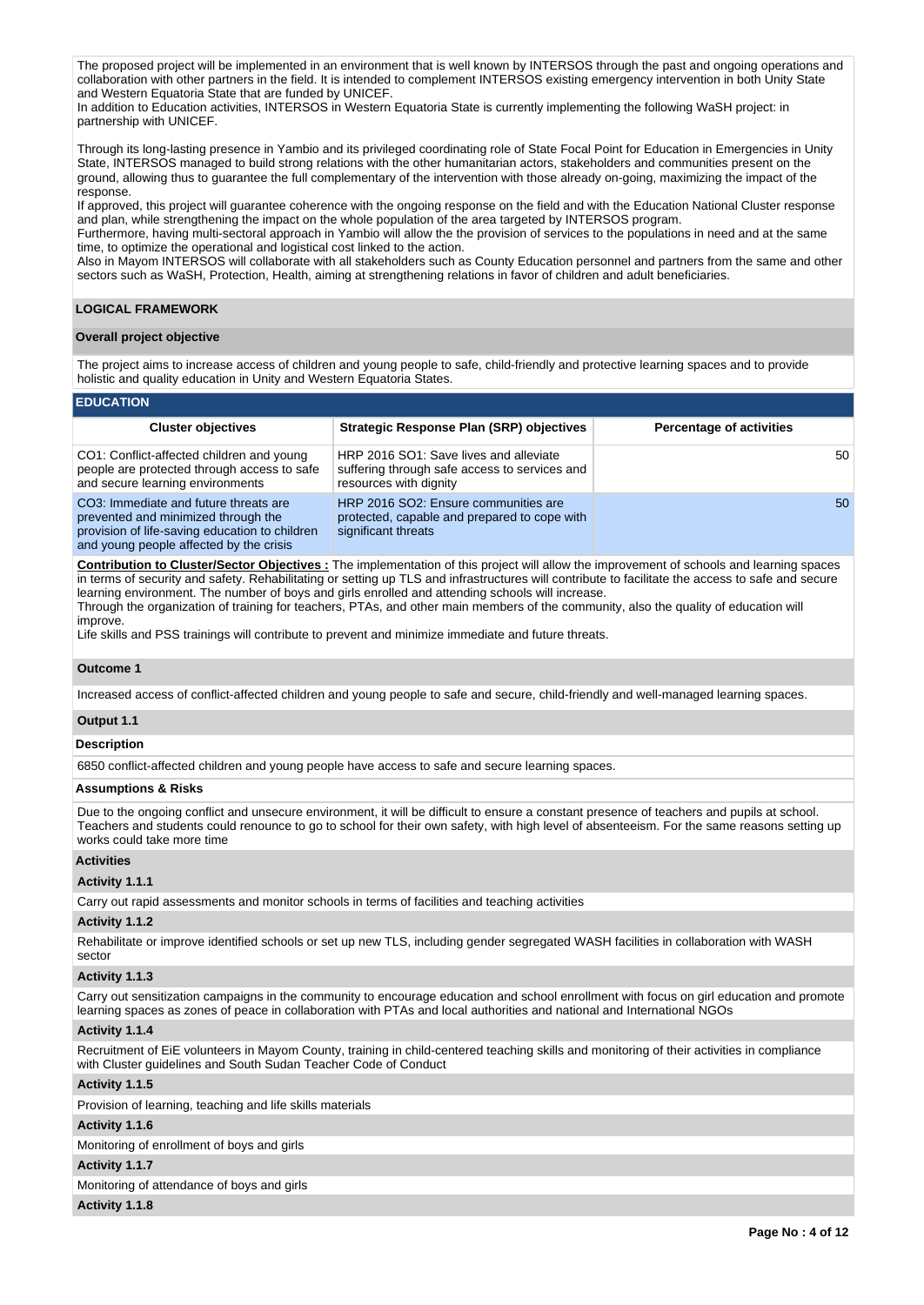The proposed project will be implemented in an environment that is well known by INTERSOS through the past and ongoing operations and collaboration with other partners in the field. It is intended to complement INTERSOS existing emergency intervention in both Unity State and Western Equatoria State that are funded by UNICEF.

In addition to Education activities, INTERSOS in Western Equatoria State is currently implementing the following WaSH project: in partnership with UNICEF.

Through its long-lasting presence in Yambio and its privileged coordinating role of State Focal Point for Education in Emergencies in Unity State, INTERSOS managed to build strong relations with the other humanitarian actors, stakeholders and communities present on the ground, allowing thus to guarantee the full complementary of the intervention with those already on-going, maximizing the impact of the response.

If approved, this project will guarantee coherence with the ongoing response on the field and with the Education National Cluster response and plan, while strengthening the impact on the whole population of the area targeted by INTERSOS program.

Furthermore, having multi-sectoral approach in Yambio will allow the the provision of services to the populations in need and at the same time, to optimize the operational and logistical cost linked to the action.

Also in Mayom INTERSOS will collaborate with all stakeholders such as County Education personnel and partners from the same and other sectors such as WaSH, Protection, Health, aiming at strengthening relations in favor of children and adult beneficiaries.

## **LOGICAL FRAMEWORK**

### **Overall project objective**

The project aims to increase access of children and young people to safe, child-friendly and protective learning spaces and to provide holistic and quality education in Unity and Western Equatoria States.

### **EDUCATION**

| <b>Cluster objectives</b>                                                                                                                                                 | <b>Strategic Response Plan (SRP) objectives</b>                                                                   | <b>Percentage of activities</b> |
|---------------------------------------------------------------------------------------------------------------------------------------------------------------------------|-------------------------------------------------------------------------------------------------------------------|---------------------------------|
| CO1: Conflict-affected children and young<br>people are protected through access to safe<br>and secure learning environments                                              | HRP 2016 SO1: Save lives and alleviate<br>suffering through safe access to services and<br>resources with dignity | 50                              |
| CO3: Immediate and future threats are<br>prevented and minimized through the<br>provision of life-saving education to children<br>and young people affected by the crisis | HRP 2016 SO2: Ensure communities are<br>protected, capable and prepared to cope with<br>significant threats       | 50                              |

**Contribution to Cluster/Sector Objectives :** The implementation of this project will allow the improvement of schools and learning spaces in terms of security and safety. Rehabilitating or setting up TLS and infrastructures will contribute to facilitate the access to safe and secure learning environment. The number of boys and girls enrolled and attending schools will increase. Through the organization of training for teachers, PTAs, and other main members of the community, also the quality of education will improve.

Life skills and PSS trainings will contribute to prevent and minimize immediate and future threats.

#### **Outcome 1**

Increased access of conflict-affected children and young people to safe and secure, child-friendly and well-managed learning spaces.

## **Output 1.1**

### **Description**

6850 conflict-affected children and young people have access to safe and secure learning spaces.

### **Assumptions & Risks**

Due to the ongoing conflict and unsecure environment, it will be difficult to ensure a constant presence of teachers and pupils at school. Teachers and students could renounce to go to school for their own safety, with high level of absenteeism. For the same reasons setting up works could take more time

### **Activities**

#### **Activity 1.1.1**

Carry out rapid assessments and monitor schools in terms of facilities and teaching activities

### **Activity 1.1.2**

Rehabilitate or improve identified schools or set up new TLS, including gender segregated WASH facilities in collaboration with WASH sector

### **Activity 1.1.3**

Carry out sensitization campaigns in the community to encourage education and school enrollment with focus on girl education and promote learning spaces as zones of peace in collaboration with PTAs and local authorities and national and International NGOs

### **Activity 1.1.4**

Recruitment of EiE volunteers in Mayom County, training in child-centered teaching skills and monitoring of their activities in compliance with Cluster guidelines and South Sudan Teacher Code of Conduct

## **Activity 1.1.5**  Provision of learning, teaching and life skills materials

## **Activity 1.1.6**

Monitoring of enrollment of boys and girls

#### **Activity 1.1.7**

Monitoring of attendance of boys and girls

### **Activity 1.1.8**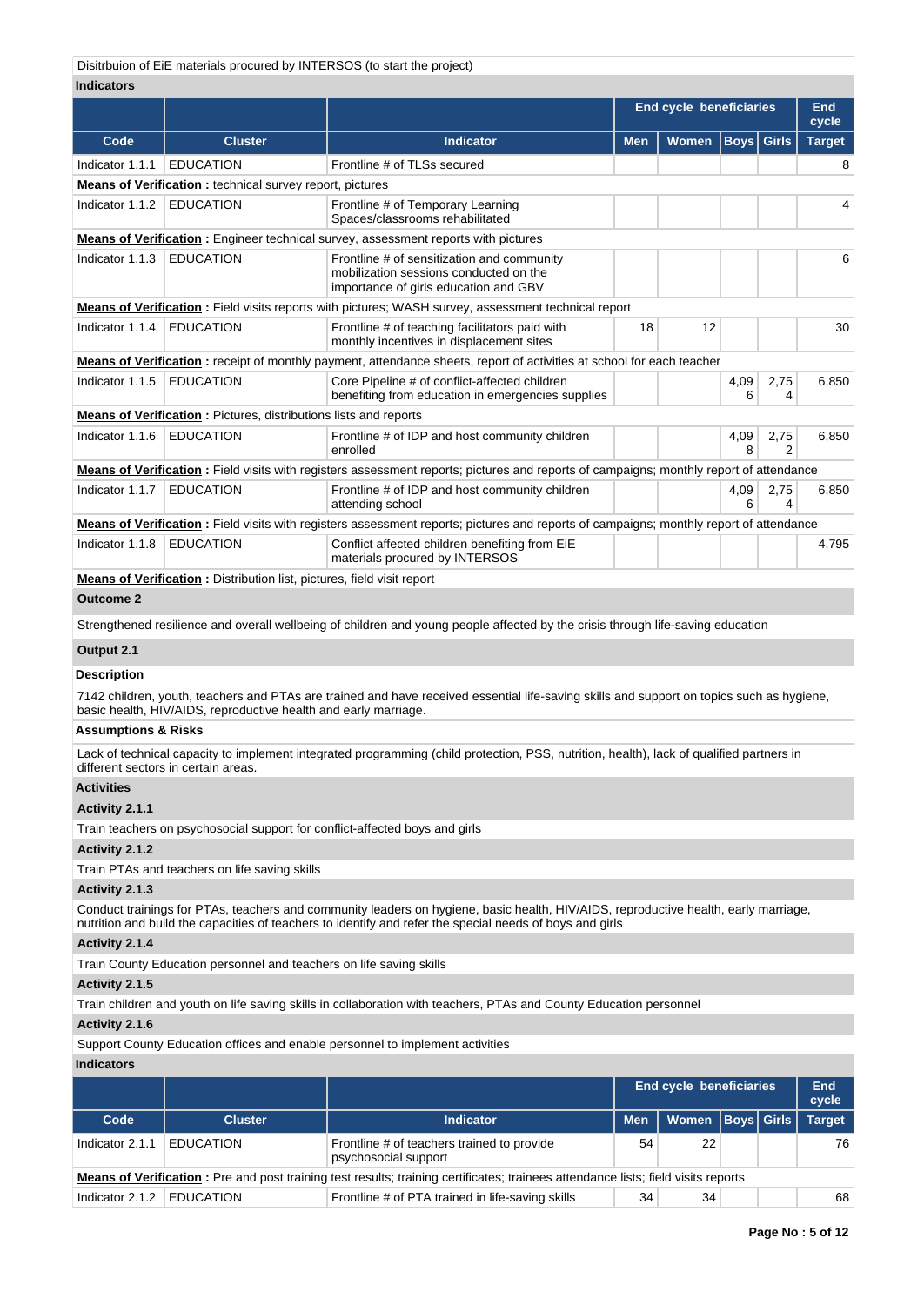Disitrbuion of EiE materials procured by INTERSOS (to start the project)

## **Indicators**

| <b>Indicators</b>                                                                                   |                                                                             |                                                                                                                                                                                                                                                 |            |                                |             |                   |                     |  |  |  |
|-----------------------------------------------------------------------------------------------------|-----------------------------------------------------------------------------|-------------------------------------------------------------------------------------------------------------------------------------------------------------------------------------------------------------------------------------------------|------------|--------------------------------|-------------|-------------------|---------------------|--|--|--|
|                                                                                                     |                                                                             |                                                                                                                                                                                                                                                 |            | <b>End cycle beneficiaries</b> |             |                   | <b>End</b><br>cycle |  |  |  |
| Code                                                                                                | <b>Cluster</b>                                                              | <b>Indicator</b>                                                                                                                                                                                                                                | <b>Men</b> | Women                          | <b>Boys</b> | <b>Girls</b>      | <b>Target</b>       |  |  |  |
| Indicator 1.1.1                                                                                     | <b>EDUCATION</b>                                                            | Frontline # of TLSs secured                                                                                                                                                                                                                     |            |                                |             |                   | 8                   |  |  |  |
|                                                                                                     | <b>Means of Verification</b> : technical survey report, pictures            |                                                                                                                                                                                                                                                 |            |                                |             |                   |                     |  |  |  |
| Indicator 1.1.2                                                                                     | <b>EDUCATION</b>                                                            | Frontline # of Temporary Learning<br>Spaces/classrooms rehabilitated                                                                                                                                                                            |            |                                |             |                   | 4                   |  |  |  |
| <b>Means of Verification</b> : Engineer technical survey, assessment reports with pictures          |                                                                             |                                                                                                                                                                                                                                                 |            |                                |             |                   |                     |  |  |  |
| Indicator 1.1.3                                                                                     | <b>EDUCATION</b>                                                            | Frontline # of sensitization and community<br>mobilization sessions conducted on the<br>importance of girls education and GBV                                                                                                                   |            |                                |             | 6                 |                     |  |  |  |
| Means of Verification: Field visits reports with pictures; WASH survey, assessment technical report |                                                                             |                                                                                                                                                                                                                                                 |            |                                |             |                   |                     |  |  |  |
| Indicator 1.1.4                                                                                     | <b>EDUCATION</b>                                                            | Frontline # of teaching facilitators paid with<br>monthly incentives in displacement sites                                                                                                                                                      | 18         | 12                             |             |                   | 30                  |  |  |  |
|                                                                                                     |                                                                             | <b>Means of Verification</b> : receipt of monthly payment, attendance sheets, report of activities at school for each teacher                                                                                                                   |            |                                |             |                   |                     |  |  |  |
| Indicator 1.1.5                                                                                     | <b>EDUCATION</b>                                                            | Core Pipeline # of conflict-affected children<br>benefiting from education in emergencies supplies                                                                                                                                              |            |                                | 4,09<br>6   | 2,75<br>4         | 6,850               |  |  |  |
|                                                                                                     | <b>Means of Verification:</b> Pictures, distributions lists and reports     |                                                                                                                                                                                                                                                 |            |                                |             |                   |                     |  |  |  |
| Indicator 1.1.6                                                                                     | <b>EDUCATION</b>                                                            | Frontline # of IDP and host community children<br>enrolled                                                                                                                                                                                      |            |                                | 4,09<br>8   | 2,75<br>2         | 6,850               |  |  |  |
|                                                                                                     |                                                                             | Means of Verification: Field visits with registers assessment reports; pictures and reports of campaigns; monthly report of attendance                                                                                                          |            |                                |             |                   |                     |  |  |  |
| Indicator 1.1.7                                                                                     | <b>EDUCATION</b>                                                            | Frontline # of IDP and host community children<br>attending school                                                                                                                                                                              |            |                                | 4,09<br>6   | 2,75<br>4         | 6,850               |  |  |  |
|                                                                                                     |                                                                             | Means of Verification: Field visits with registers assessment reports; pictures and reports of campaigns; monthly report of attendance                                                                                                          |            |                                |             |                   |                     |  |  |  |
| Indicator 1.1.8                                                                                     | <b>EDUCATION</b>                                                            | Conflict affected children benefiting from EiE<br>materials procured by INTERSOS                                                                                                                                                                |            |                                |             |                   | 4,795               |  |  |  |
|                                                                                                     | Means of Verification: Distribution list, pictures, field visit report      |                                                                                                                                                                                                                                                 |            |                                |             |                   |                     |  |  |  |
| <b>Outcome 2</b>                                                                                    |                                                                             |                                                                                                                                                                                                                                                 |            |                                |             |                   |                     |  |  |  |
|                                                                                                     |                                                                             | Strengthened resilience and overall wellbeing of children and young people affected by the crisis through life-saving education                                                                                                                 |            |                                |             |                   |                     |  |  |  |
| Output 2.1                                                                                          |                                                                             |                                                                                                                                                                                                                                                 |            |                                |             |                   |                     |  |  |  |
| <b>Description</b>                                                                                  |                                                                             |                                                                                                                                                                                                                                                 |            |                                |             |                   |                     |  |  |  |
|                                                                                                     | basic health, HIV/AIDS, reproductive health and early marriage.             | 7142 children, youth, teachers and PTAs are trained and have received essential life-saving skills and support on topics such as hygiene,                                                                                                       |            |                                |             |                   |                     |  |  |  |
| <b>Assumptions &amp; Risks</b>                                                                      |                                                                             |                                                                                                                                                                                                                                                 |            |                                |             |                   |                     |  |  |  |
|                                                                                                     | different sectors in certain areas.                                         | Lack of technical capacity to implement integrated programming (child protection, PSS, nutrition, health), lack of qualified partners in                                                                                                        |            |                                |             |                   |                     |  |  |  |
| <b>Activities</b>                                                                                   |                                                                             |                                                                                                                                                                                                                                                 |            |                                |             |                   |                     |  |  |  |
| Activity 2.1.1                                                                                      |                                                                             |                                                                                                                                                                                                                                                 |            |                                |             |                   |                     |  |  |  |
|                                                                                                     | Train teachers on psychosocial support for conflict-affected boys and girls |                                                                                                                                                                                                                                                 |            |                                |             |                   |                     |  |  |  |
| Activity 2.1.2                                                                                      |                                                                             |                                                                                                                                                                                                                                                 |            |                                |             |                   |                     |  |  |  |
|                                                                                                     | Train PTAs and teachers on life saving skills                               |                                                                                                                                                                                                                                                 |            |                                |             |                   |                     |  |  |  |
| Activity 2.1.3                                                                                      |                                                                             |                                                                                                                                                                                                                                                 |            |                                |             |                   |                     |  |  |  |
|                                                                                                     |                                                                             | Conduct trainings for PTAs, teachers and community leaders on hygiene, basic health, HIV/AIDS, reproductive health, early marriage,<br>nutrition and build the capacities of teachers to identify and refer the special needs of boys and girls |            |                                |             |                   |                     |  |  |  |
| Activity 2.1.4                                                                                      |                                                                             |                                                                                                                                                                                                                                                 |            |                                |             |                   |                     |  |  |  |
|                                                                                                     | Train County Education personnel and teachers on life saving skills         |                                                                                                                                                                                                                                                 |            |                                |             |                   |                     |  |  |  |
| Activity 2.1.5                                                                                      |                                                                             |                                                                                                                                                                                                                                                 |            |                                |             |                   |                     |  |  |  |
|                                                                                                     |                                                                             | Train children and youth on life saving skills in collaboration with teachers, PTAs and County Education personnel                                                                                                                              |            |                                |             |                   |                     |  |  |  |
| Activity 2.1.6                                                                                      |                                                                             |                                                                                                                                                                                                                                                 |            |                                |             |                   |                     |  |  |  |
|                                                                                                     |                                                                             | Support County Education offices and enable personnel to implement activities                                                                                                                                                                   |            |                                |             |                   |                     |  |  |  |
| <b>Indicators</b>                                                                                   |                                                                             |                                                                                                                                                                                                                                                 |            |                                |             |                   |                     |  |  |  |
|                                                                                                     |                                                                             |                                                                                                                                                                                                                                                 |            | <b>End cycle beneficiaries</b> |             |                   | <b>End</b><br>cycle |  |  |  |
| Code                                                                                                | <b>Cluster</b>                                                              | <b>Indicator</b>                                                                                                                                                                                                                                | Men        | <b>Women</b>                   |             | <b>Boys Girls</b> | <b>Target</b>       |  |  |  |
| Indicator 2.1.1                                                                                     | <b>EDUCATION</b>                                                            | Frontline # of teachers trained to provide<br>psychosocial support                                                                                                                                                                              | 54         | 22                             |             |                   | 76                  |  |  |  |
|                                                                                                     |                                                                             | Means of Verification: Pre and post training test results; training certificates; trainees attendance lists; field visits reports                                                                                                               |            |                                |             |                   |                     |  |  |  |
| Indicator 2.1.2 EDUCATION                                                                           |                                                                             | Frontline # of PTA trained in life-saving skills                                                                                                                                                                                                | 34         | 34                             |             |                   | 68                  |  |  |  |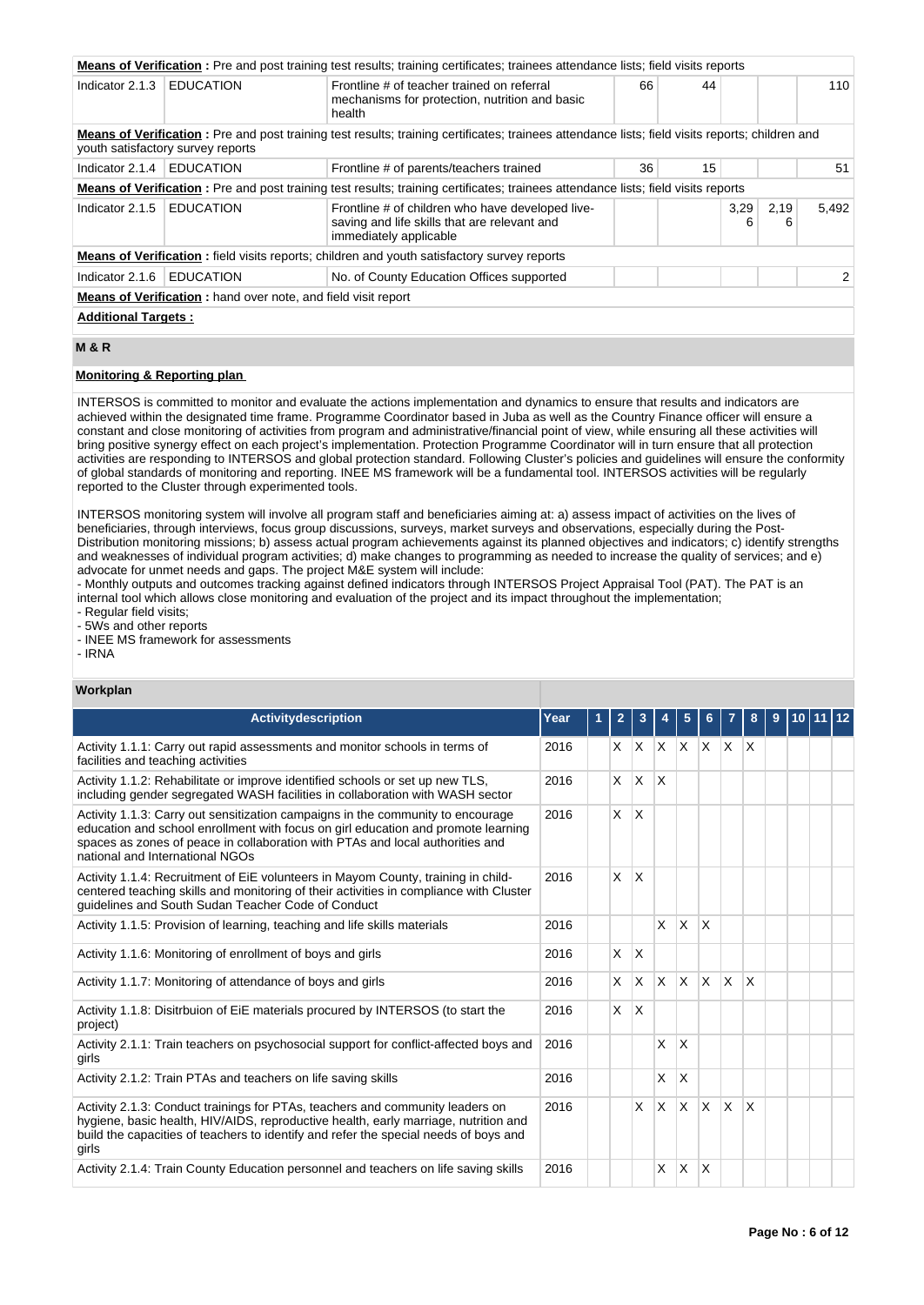|                                                                      |                                                                                                                                                                                      | <b>Means of Verification</b> : Pre and post training test results; training certificates; trainees attendance lists; field visits reports |    |    |           |           |       |  |  |  |  |
|----------------------------------------------------------------------|--------------------------------------------------------------------------------------------------------------------------------------------------------------------------------------|-------------------------------------------------------------------------------------------------------------------------------------------|----|----|-----------|-----------|-------|--|--|--|--|
| Indicator 2.1.3                                                      | <b>EDUCATION</b>                                                                                                                                                                     | Frontline # of teacher trained on referral<br>mechanisms for protection, nutrition and basic<br>health                                    | 66 | 44 |           |           | 110   |  |  |  |  |
|                                                                      | Means of Verification: Pre and post training test results; training certificates; trainees attendance lists; field visits reports; children and<br>youth satisfactory survey reports |                                                                                                                                           |    |    |           |           |       |  |  |  |  |
| Indicator $2.1.4$   EDUCATION                                        |                                                                                                                                                                                      | Frontline # of parents/teachers trained                                                                                                   | 36 | 15 |           |           | 51    |  |  |  |  |
|                                                                      |                                                                                                                                                                                      | Means of Verification: Pre and post training test results; training certificates; trainees attendance lists; field visits reports         |    |    |           |           |       |  |  |  |  |
| Indicator 2.1.5                                                      | <b>EDUCATION</b>                                                                                                                                                                     | Frontline # of children who have developed live-<br>saving and life skills that are relevant and<br>immediately applicable                |    |    | 3,29<br>6 | 2,19<br>6 | 5.492 |  |  |  |  |
|                                                                      |                                                                                                                                                                                      | <b>Means of Verification:</b> field visits reports; children and youth satisfactory survey reports                                        |    |    |           |           |       |  |  |  |  |
| Indicator 2.1.6                                                      | <b>EDUCATION</b>                                                                                                                                                                     | No. of County Education Offices supported                                                                                                 |    |    |           |           | 2     |  |  |  |  |
| <b>Means of Verification:</b> hand over note, and field visit report |                                                                                                                                                                                      |                                                                                                                                           |    |    |           |           |       |  |  |  |  |
|                                                                      | <b>Additional Targets:</b>                                                                                                                                                           |                                                                                                                                           |    |    |           |           |       |  |  |  |  |

# **M & R**

## **Monitoring & Reporting plan**

INTERSOS is committed to monitor and evaluate the actions implementation and dynamics to ensure that results and indicators are achieved within the designated time frame. Programme Coordinator based in Juba as well as the Country Finance officer will ensure a constant and close monitoring of activities from program and administrative/financial point of view, while ensuring all these activities will bring positive synergy effect on each project's implementation. Protection Programme Coordinator will in turn ensure that all protection activities are responding to INTERSOS and global protection standard. Following Cluster's policies and guidelines will ensure the conformity of global standards of monitoring and reporting. INEE MS framework will be a fundamental tool. INTERSOS activities will be regularly reported to the Cluster through experimented tools.

INTERSOS monitoring system will involve all program staff and beneficiaries aiming at: a) assess impact of activities on the lives of beneficiaries, through interviews, focus group discussions, surveys, market surveys and observations, especially during the Post-Distribution monitoring missions; b) assess actual program achievements against its planned objectives and indicators; c) identify strengths and weaknesses of individual program activities; d) make changes to programming as needed to increase the quality of services; and e) advocate for unmet needs and gaps. The project M&E system will include:

- Monthly outputs and outcomes tracking against defined indicators through INTERSOS Project Appraisal Tool (PAT). The PAT is an internal tool which allows close monitoring and evaluation of the project and its impact throughout the implementation;

- Regular field visits;

- 5Ws and other reports

- INEE MS framework for assessments

# - IRNA

### **Workplan**

| <b>Activitydescription</b>                                                                                                                                                                                                                                                               | Year | 2        |                         |              |          |              |                         | 8 | 9 |  |  |
|------------------------------------------------------------------------------------------------------------------------------------------------------------------------------------------------------------------------------------------------------------------------------------------|------|----------|-------------------------|--------------|----------|--------------|-------------------------|---|---|--|--|
| Activity 1.1.1: Carry out rapid assessments and monitor schools in terms of<br>facilities and teaching activities                                                                                                                                                                        | 2016 | X.       |                         | $ X $ $ X $  |          | X.           | $X$ $X$                 |   |   |  |  |
| Activity 1.1.2: Rehabilitate or improve identified schools or set up new TLS.<br>including gender segregated WASH facilities in collaboration with WASH sector                                                                                                                           | 2016 | X        | <b>X</b>                | X            |          |              |                         |   |   |  |  |
| Activity 1.1.3: Carry out sensitization campaigns in the community to encourage<br>education and school enrollment with focus on girl education and promote learning<br>spaces as zones of peace in collaboration with PTAs and local authorities and<br>national and International NGOs | 2016 | X        | ΙX.                     |              |          |              |                         |   |   |  |  |
| Activity 1.1.4: Recruitment of EiE volunteers in Mayom County, training in child-<br>centered teaching skills and monitoring of their activities in compliance with Cluster<br>quidelines and South Sudan Teacher Code of Conduct                                                        | 2016 | X        | $\overline{\mathsf{x}}$ |              |          |              |                         |   |   |  |  |
| Activity 1.1.5: Provision of learning, teaching and life skills materials                                                                                                                                                                                                                | 2016 |          |                         | X            | $\times$ | $\mathsf{x}$ |                         |   |   |  |  |
| Activity 1.1.6: Monitoring of enrollment of boys and girls                                                                                                                                                                                                                               | 2016 | $\times$ | <sup>X</sup>            |              |          |              |                         |   |   |  |  |
| Activity 1.1.7: Monitoring of attendance of boys and girls                                                                                                                                                                                                                               | 2016 | $\times$ | ΙX.                     | $\mathsf{X}$ | <b>X</b> | <b>X</b>     | <sup>X</sup>            | X |   |  |  |
| Activity 1.1.8: Disitrbuion of EiE materials procured by INTERSOS (to start the<br>project)                                                                                                                                                                                              | 2016 | X        | <sup>X</sup>            |              |          |              |                         |   |   |  |  |
| Activity 2.1.1: Train teachers on psychosocial support for conflict-affected boys and<br>girls                                                                                                                                                                                           | 2016 |          |                         | X            | $\times$ |              |                         |   |   |  |  |
| Activity 2.1.2: Train PTAs and teachers on life saving skills                                                                                                                                                                                                                            | 2016 |          |                         | X            | $\times$ |              |                         |   |   |  |  |
| Activity 2.1.3: Conduct trainings for PTAs, teachers and community leaders on<br>hygiene, basic health, HIV/AIDS, reproductive health, early marriage, nutrition and<br>build the capacities of teachers to identify and refer the special needs of boys and<br>girls                    | 2016 |          | X.                      | IX.          | X.       | ΙX.          | $\overline{\mathsf{x}}$ | X |   |  |  |
| Activity 2.1.4: Train County Education personnel and teachers on life saving skills                                                                                                                                                                                                      | 2016 |          |                         | X            | X        | $\times$     |                         |   |   |  |  |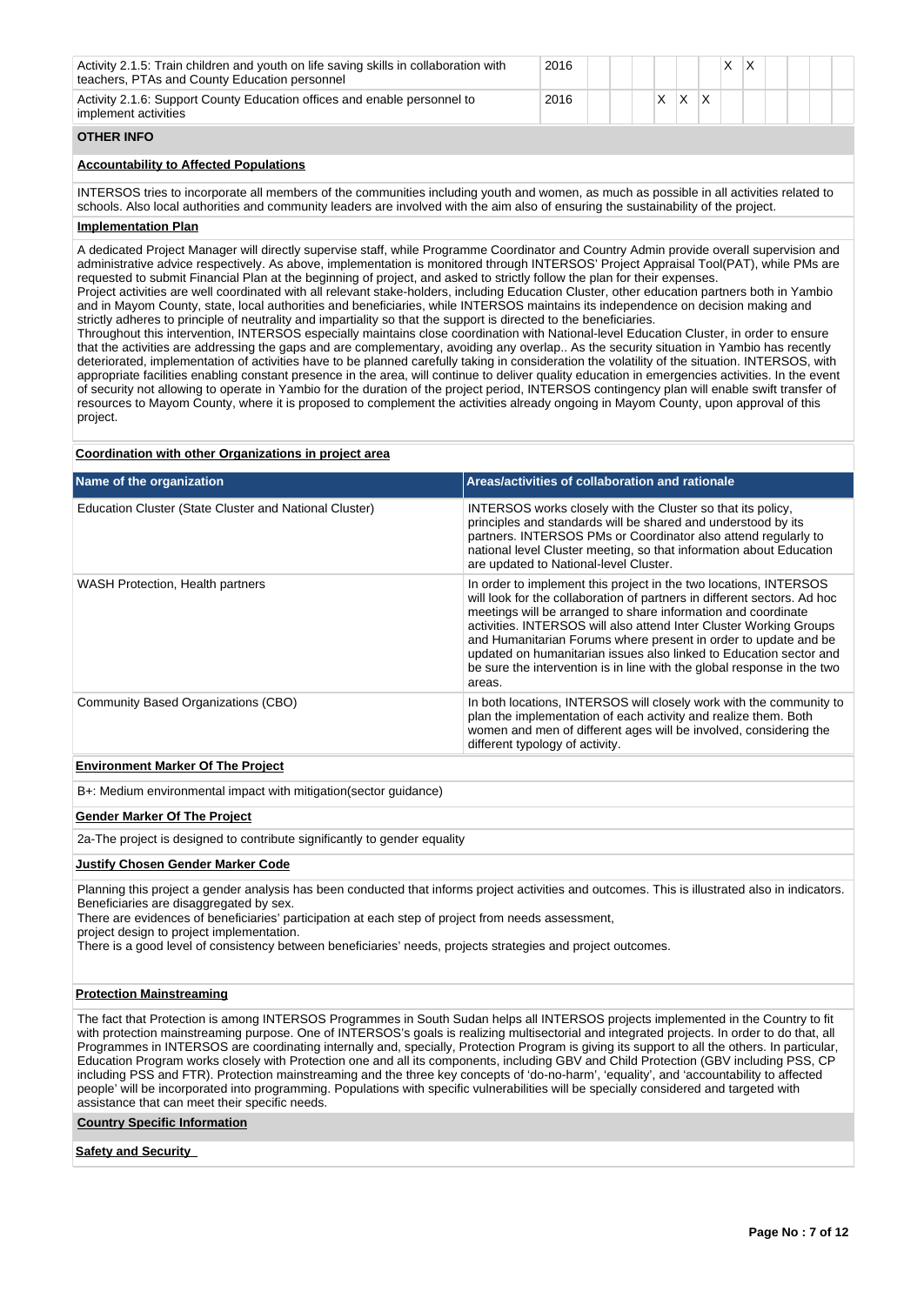| Activity 2.1.5: Train children and youth on life saving skills in collaboration with<br>teachers, PTAs and County Education personnel | 2016 |  |  |   | x |  |  |  |
|---------------------------------------------------------------------------------------------------------------------------------------|------|--|--|---|---|--|--|--|
| Activity 2.1.6: Support County Education offices and enable personnel to<br>implement activities                                      | 2016 |  |  | х |   |  |  |  |
| <b>OTHER INFO</b>                                                                                                                     |      |  |  |   |   |  |  |  |

## **Accountability to Affected Populations**

INTERSOS tries to incorporate all members of the communities including youth and women, as much as possible in all activities related to schools. Also local authorities and community leaders are involved with the aim also of ensuring the sustainability of the project.

## **Implementation Plan**

A dedicated Project Manager will directly supervise staff, while Programme Coordinator and Country Admin provide overall supervision and administrative advice respectively. As above, implementation is monitored through INTERSOS' Project Appraisal Tool(PAT), while PMs are requested to submit Financial Plan at the beginning of project, and asked to strictly follow the plan for their expenses.

Project activities are well coordinated with all relevant stake-holders, including Education Cluster, other education partners both in Yambio and in Mayom County, state, local authorities and beneficiaries, while INTERSOS maintains its independence on decision making and strictly adheres to principle of neutrality and impartiality so that the support is directed to the beneficiaries.

Throughout this intervention, INTERSOS especially maintains close coordination with National-level Education Cluster, in order to ensure that the activities are addressing the gaps and are complementary, avoiding any overlap.. As the security situation in Yambio has recently deteriorated, implementation of activities have to be planned carefully taking in consideration the volatility of the situation. INTERSOS, with appropriate facilities enabling constant presence in the area, will continue to deliver quality education in emergencies activities. In the event of security not allowing to operate in Yambio for the duration of the project period, INTERSOS contingency plan will enable swift transfer of resources to Mayom County, where it is proposed to complement the activities already ongoing in Mayom County, upon approval of this project.

### **Coordination with other Organizations in project area**

| Name of the organization                               | Areas/activities of collaboration and rationale                                                                                                                                                                                                                                                                                                                                                                                                                                                                    |
|--------------------------------------------------------|--------------------------------------------------------------------------------------------------------------------------------------------------------------------------------------------------------------------------------------------------------------------------------------------------------------------------------------------------------------------------------------------------------------------------------------------------------------------------------------------------------------------|
| Education Cluster (State Cluster and National Cluster) | INTERSOS works closely with the Cluster so that its policy,<br>principles and standards will be shared and understood by its<br>partners. INTERSOS PMs or Coordinator also attend regularly to<br>national level Cluster meeting, so that information about Education<br>are updated to National-level Cluster.                                                                                                                                                                                                    |
| WASH Protection, Health partners                       | In order to implement this project in the two locations, INTERSOS<br>will look for the collaboration of partners in different sectors. Ad hoc<br>meetings will be arranged to share information and coordinate<br>activities. INTERSOS will also attend Inter Cluster Working Groups<br>and Humanitarian Forums where present in order to update and be<br>updated on humanitarian issues also linked to Education sector and<br>be sure the intervention is in line with the global response in the two<br>areas. |
| Community Based Organizations (CBO)                    | In both locations, INTERSOS will closely work with the community to<br>plan the implementation of each activity and realize them. Both<br>women and men of different ages will be involved, considering the<br>different typology of activity.                                                                                                                                                                                                                                                                     |
| For decoration the class of The Bester                 |                                                                                                                                                                                                                                                                                                                                                                                                                                                                                                                    |

### **Environment Marker Of The Project**

B+: Medium environmental impact with mitigation(sector guidance)

### **Gender Marker Of The Project**

2a-The project is designed to contribute significantly to gender equality

#### **Justify Chosen Gender Marker Code**

Planning this project a gender analysis has been conducted that informs project activities and outcomes. This is illustrated also in indicators. Beneficiaries are disaggregated by sex.

There are evidences of beneficiaries' participation at each step of project from needs assessment,

project design to project implementation.

There is a good level of consistency between beneficiaries' needs, projects strategies and project outcomes.

### **Protection Mainstreaming**

The fact that Protection is among INTERSOS Programmes in South Sudan helps all INTERSOS projects implemented in the Country to fit with protection mainstreaming purpose. One of INTERSOS's goals is realizing multisectorial and integrated projects. In order to do that, all Programmes in INTERSOS are coordinating internally and, specially, Protection Program is giving its support to all the others. In particular, Education Program works closely with Protection one and all its components, including GBV and Child Protection (GBV including PSS, CP including PSS and FTR). Protection mainstreaming and the three key concepts of 'do-no-harm', 'equality', and 'accountability to affected people' will be incorporated into programming. Populations with specific vulnerabilities will be specially considered and targeted with assistance that can meet their specific needs.

### **Country Specific Information**

#### **Safety and Security**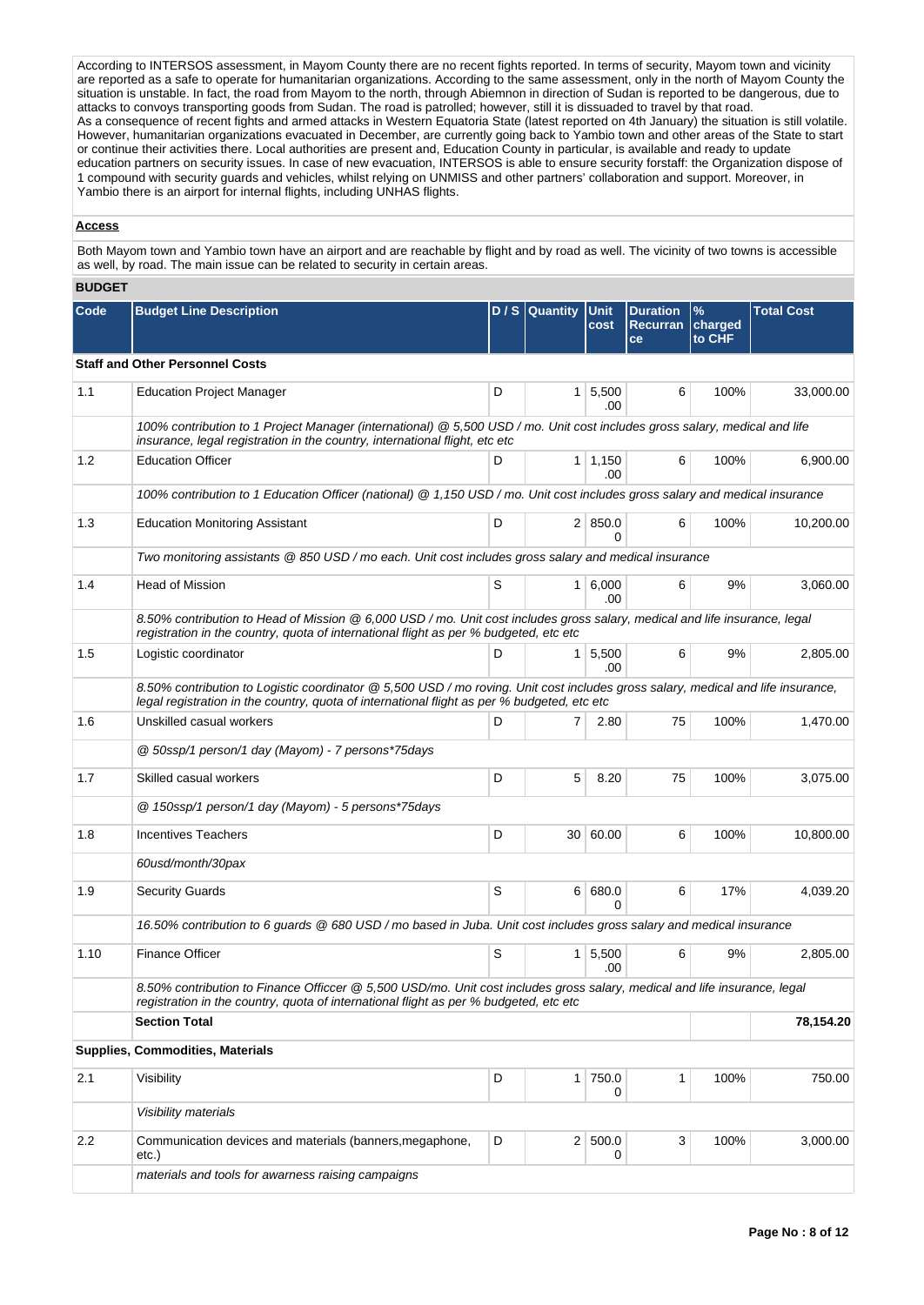According to INTERSOS assessment, in Mayom County there are no recent fights reported. In terms of security, Mayom town and vicinity are reported as a safe to operate for humanitarian organizations. According to the same assessment, only in the north of Mayom County the situation is unstable. In fact, the road from Mayom to the north, through Abiemnon in direction of Sudan is reported to be dangerous, due to attacks to convoys transporting goods from Sudan. The road is patrolled; however, still it is dissuaded to travel by that road. As a consequence of recent fights and armed attacks in Western Equatoria State (latest reported on 4th January) the situation is still volatile. However, humanitarian organizations evacuated in December, are currently going back to Yambio town and other areas of the State to start or continue their activities there. Local authorities are present and, Education County in particular, is available and ready to update education partners on security issues. In case of new evacuation, INTERSOS is able to ensure security forstaff: the Organization dispose of 1 compound with security guards and vehicles, whilst relying on UNMISS and other partners' collaboration and support. Moreover, in Yambio there is an airport for internal flights, including UNHAS flights.

### **Access**

Both Mayom town and Yambio town have an airport and are reachable by flight and by road as well. The vicinity of two towns is accessible as well, by road. The main issue can be related to security in certain areas.

### **BUDGET**

| Code | <b>Budget Line Description</b>                                                                                                                                                                                                  |   | D / S Quantity Unit | cost                   | <b>Duration</b><br><b>Recurran</b><br>ce | %<br>charged<br>to CHF | <b>Total Cost</b> |
|------|---------------------------------------------------------------------------------------------------------------------------------------------------------------------------------------------------------------------------------|---|---------------------|------------------------|------------------------------------------|------------------------|-------------------|
|      | <b>Staff and Other Personnel Costs</b>                                                                                                                                                                                          |   |                     |                        |                                          |                        |                   |
| 1.1  | <b>Education Project Manager</b>                                                                                                                                                                                                | D |                     | $1 \, 5,500$<br>.00    | 6                                        | 100%                   | 33,000.00         |
|      | 100% contribution to 1 Project Manager (international) @ 5,500 USD / mo. Unit cost includes gross salary, medical and life<br>insurance, legal registration in the country, international flight, etc etc                       |   |                     |                        |                                          |                        |                   |
| 1.2  | <b>Education Officer</b>                                                                                                                                                                                                        | D |                     | $1 \mid 1,150$<br>.00  | 6                                        | 100%                   | 6.900.00          |
|      | 100% contribution to 1 Education Officer (national) @ 1,150 USD / mo. Unit cost includes gross salary and medical insurance                                                                                                     |   |                     |                        |                                          |                        |                   |
| 1.3  | <b>Education Monitoring Assistant</b>                                                                                                                                                                                           | D |                     | 2   850.0              | 6                                        | 100%                   | 10,200.00         |
|      | Two monitoring assistants @ 850 USD / mo each. Unit cost includes gross salary and medical insurance                                                                                                                            |   |                     |                        |                                          |                        |                   |
| 1.4  | <b>Head of Mission</b>                                                                                                                                                                                                          | S |                     | 1   6,000<br>.00       | 6                                        | 9%                     | 3,060.00          |
|      | 8.50% contribution to Head of Mission @ 6,000 USD / mo. Unit cost includes gross salary, medical and life insurance, legal<br>registration in the country, quota of international flight as per % budgeted, etc etc             |   |                     |                        |                                          |                        |                   |
| 1.5  | Logistic coordinator                                                                                                                                                                                                            | D | 1 <sup>1</sup>      | 5,500<br>.00.          | 6                                        | 9%                     | 2,805.00          |
|      | 8.50% contribution to Logistic coordinator @ 5,500 USD / mo roving. Unit cost includes gross salary, medical and life insurance,<br>legal registration in the country, quota of international flight as per % budgeted, etc etc |   |                     |                        |                                          |                        |                   |
| 1.6  | Unskilled casual workers                                                                                                                                                                                                        | D | 7                   | 2.80                   | 75                                       | 100%                   | 1,470.00          |
|      | @ 50ssp/1 person/1 day (Mayom) - 7 persons*75days                                                                                                                                                                               |   |                     |                        |                                          |                        |                   |
| 1.7  | Skilled casual workers                                                                                                                                                                                                          | D | 5                   | 8.20                   | 75                                       | 100%                   | 3,075.00          |
|      | @ 150ssp/1 person/1 day (Mayom) - 5 persons*75days                                                                                                                                                                              |   |                     |                        |                                          |                        |                   |
| 1.8  | <b>Incentives Teachers</b>                                                                                                                                                                                                      | D |                     | 30 60.00               | 6                                        | 100%                   | 10,800.00         |
|      | 60usd/month/30pax                                                                                                                                                                                                               |   |                     |                        |                                          |                        |                   |
| 1.9  | <b>Security Guards</b>                                                                                                                                                                                                          | S |                     | 6 680.0<br>0           | 6                                        | 17%                    | 4,039.20          |
|      | 16.50% contribution to 6 guards @ 680 USD / mo based in Juba. Unit cost includes gross salary and medical insurance                                                                                                             |   |                     |                        |                                          |                        |                   |
| 1.10 | <b>Finance Officer</b>                                                                                                                                                                                                          | S |                     | $1 \mid 5,500$<br>.00. | 6                                        | 9%                     | 2.805.00          |
|      | 8.50% contribution to Finance Officcer @ 5,500 USD/mo. Unit cost includes gross salary, medical and life insurance, legal<br>registration in the country, quota of international flight as per % budgeted, etc etc              |   |                     |                        |                                          |                        |                   |
|      | <b>Section Total</b>                                                                                                                                                                                                            |   |                     |                        |                                          |                        | 78,154.20         |
|      | <b>Supplies, Commodities, Materials</b>                                                                                                                                                                                         |   |                     |                        |                                          |                        |                   |
| 2.1  | Visibility                                                                                                                                                                                                                      | D |                     | 1 750.0<br>0           | $\mathbf{1}$                             | 100%                   | 750.00            |
|      | Visibility materials                                                                                                                                                                                                            |   |                     |                        |                                          |                        |                   |
| 2.2  | Communication devices and materials (banners, megaphone,<br>etc.)                                                                                                                                                               | D |                     | 2 500.0<br>0           | 3                                        | 100%                   | 3,000.00          |
|      | materials and tools for awarness raising campaigns                                                                                                                                                                              |   |                     |                        |                                          |                        |                   |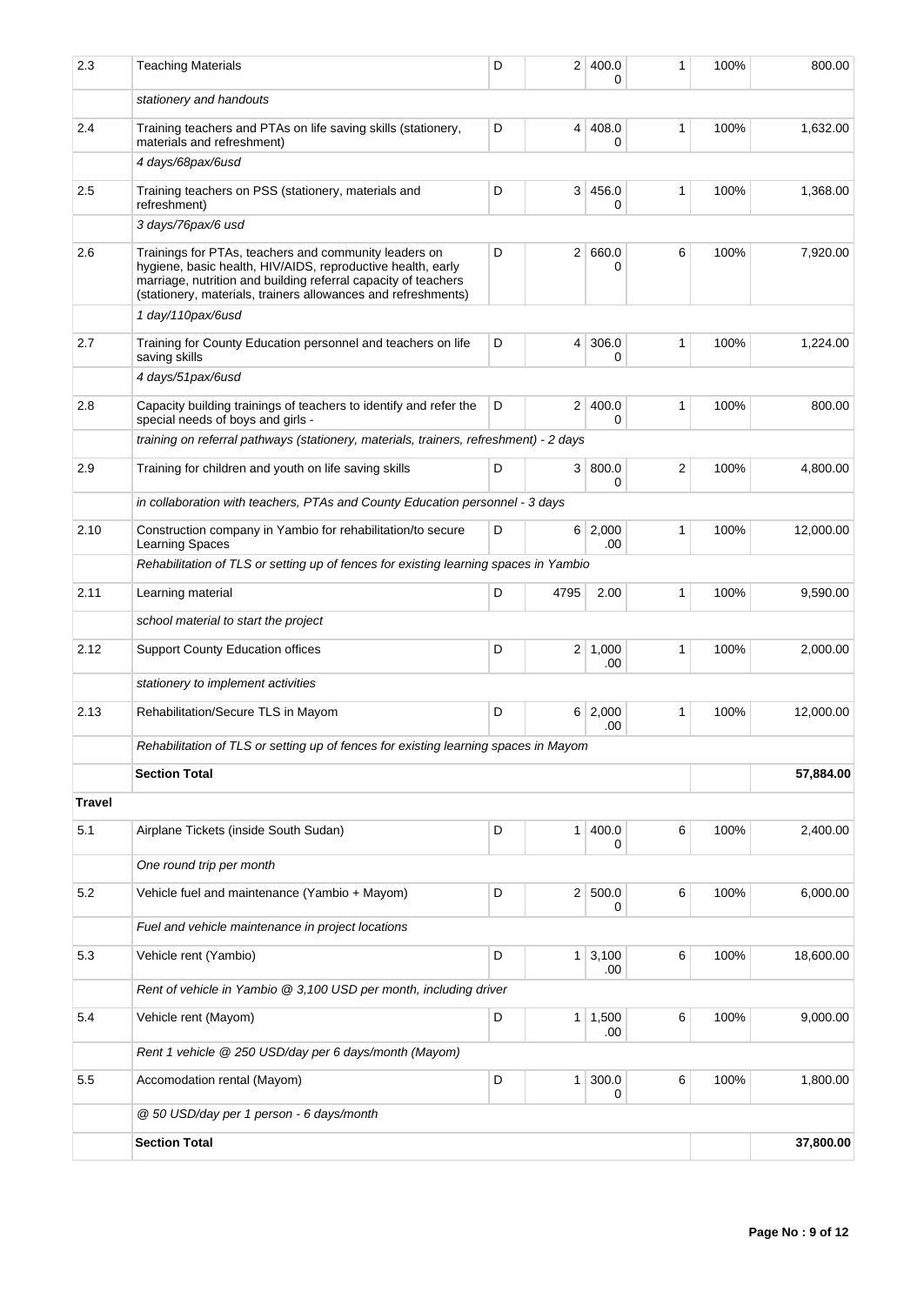| 2.3           | <b>Teaching Materials</b>                                                                                                                                                                                                                               | D | 2              | 400.0<br>0            | 1            | 100% | 800.00    |
|---------------|---------------------------------------------------------------------------------------------------------------------------------------------------------------------------------------------------------------------------------------------------------|---|----------------|-----------------------|--------------|------|-----------|
|               | stationery and handouts                                                                                                                                                                                                                                 |   |                |                       |              |      |           |
| 2.4           | Training teachers and PTAs on life saving skills (stationery,<br>materials and refreshment)                                                                                                                                                             | D | 4              | 408.0<br>$\Omega$     | 1            | 100% | 1,632.00  |
|               | 4 days/68pax/6usd                                                                                                                                                                                                                                       |   |                |                       |              |      |           |
| 2.5           | Training teachers on PSS (stationery, materials and<br>refreshment)                                                                                                                                                                                     | D | 3 <sup>1</sup> | 456.0<br>0            | $\mathbf{1}$ | 100% | 1,368.00  |
|               | 3 days/76pax/6 usd                                                                                                                                                                                                                                      |   |                |                       |              |      |           |
| 2.6           | Trainings for PTAs, teachers and community leaders on<br>hygiene, basic health, HIV/AIDS, reproductive health, early<br>marriage, nutrition and building referral capacity of teachers<br>(stationery, materials, trainers allowances and refreshments) | D | 2 <sup>1</sup> | 660.0<br>0            | 6            | 100% | 7,920.00  |
|               | 1 day/110pax/6usd                                                                                                                                                                                                                                       |   |                |                       |              |      |           |
| 2.7           | Training for County Education personnel and teachers on life<br>saving skills                                                                                                                                                                           | D | 4              | 306.0<br>0            | 1            | 100% | 1,224.00  |
|               | 4 days/51pax/6usd                                                                                                                                                                                                                                       |   |                |                       |              |      |           |
| 2.8           | Capacity building trainings of teachers to identify and refer the<br>special needs of boys and girls -                                                                                                                                                  | D | 2 <sup>1</sup> | 400.0<br>$\Omega$     | 1            | 100% | 800.00    |
|               | training on referral pathways (stationery, materials, trainers, refreshment) - 2 days                                                                                                                                                                   |   |                |                       |              |      |           |
| 2.9           | Training for children and youth on life saving skills                                                                                                                                                                                                   | D | 3 <sup>1</sup> | 800.0<br>0            | 2            | 100% | 4.800.00  |
|               | in collaboration with teachers, PTAs and County Education personnel - 3 days                                                                                                                                                                            |   |                |                       |              |      |           |
| 2.10          | Construction company in Yambio for rehabilitation/to secure<br><b>Learning Spaces</b>                                                                                                                                                                   | D |                | 6 2,000<br>.00        | 1            | 100% | 12,000.00 |
|               | Rehabilitation of TLS or setting up of fences for existing learning spaces in Yambio                                                                                                                                                                    |   |                |                       |              |      |           |
| 2.11          | Learning material                                                                                                                                                                                                                                       | D | 4795           | 2.00                  | 1            | 100% | 9,590.00  |
|               | school material to start the project                                                                                                                                                                                                                    |   |                |                       |              |      |           |
| 2.12          | <b>Support County Education offices</b>                                                                                                                                                                                                                 | D |                | $2 \mid 1,000$<br>.00 | 1            | 100% | 2,000.00  |
|               | stationery to implement activities                                                                                                                                                                                                                      |   |                |                       |              |      |           |
| 2.13          | Rehabilitation/Secure TLS in Mayom                                                                                                                                                                                                                      | D |                | 6 2,000<br>.00        | 1            | 100% | 12,000.00 |
|               | Rehabilitation of TLS or setting up of fences for existing learning spaces in Mayom                                                                                                                                                                     |   |                |                       |              |      |           |
|               | <b>Section Total</b>                                                                                                                                                                                                                                    |   |                |                       |              |      | 57,884.00 |
| <b>Travel</b> |                                                                                                                                                                                                                                                         |   |                |                       |              |      |           |
| 5.1           | Airplane Tickets (inside South Sudan)                                                                                                                                                                                                                   | D | 1 <sup>1</sup> | 400.0<br>0            | 6            | 100% | 2,400.00  |
|               | One round trip per month                                                                                                                                                                                                                                |   |                |                       |              |      |           |
| 5.2           | Vehicle fuel and maintenance (Yambio + Mayom)                                                                                                                                                                                                           | D |                | 2 500.0<br>0          | 6            | 100% | 6,000.00  |
|               | Fuel and vehicle maintenance in project locations                                                                                                                                                                                                       |   |                |                       |              |      |           |
| 5.3           | Vehicle rent (Yambio)                                                                                                                                                                                                                                   | D |                | $1 \mid 3,100$<br>.00 | 6            | 100% | 18,600.00 |
|               | Rent of vehicle in Yambio @ 3,100 USD per month, including driver                                                                                                                                                                                       |   |                |                       |              |      |           |
| 5.4           | Vehicle rent (Mayom)                                                                                                                                                                                                                                    | D |                | $1 \mid 1,500$<br>.00 | 6            | 100% | 9,000.00  |
|               | Rent 1 vehicle @ 250 USD/day per 6 days/month (Mayom)                                                                                                                                                                                                   |   |                |                       |              |      |           |
| 5.5           | Accomodation rental (Mayom)                                                                                                                                                                                                                             | D | 1 <sup>1</sup> | 300.0<br>0            | 6            | 100% | 1,800.00  |
|               | @ 50 USD/day per 1 person - 6 days/month                                                                                                                                                                                                                |   |                |                       |              |      |           |
|               | <b>Section Total</b>                                                                                                                                                                                                                                    |   |                |                       |              |      | 37,800.00 |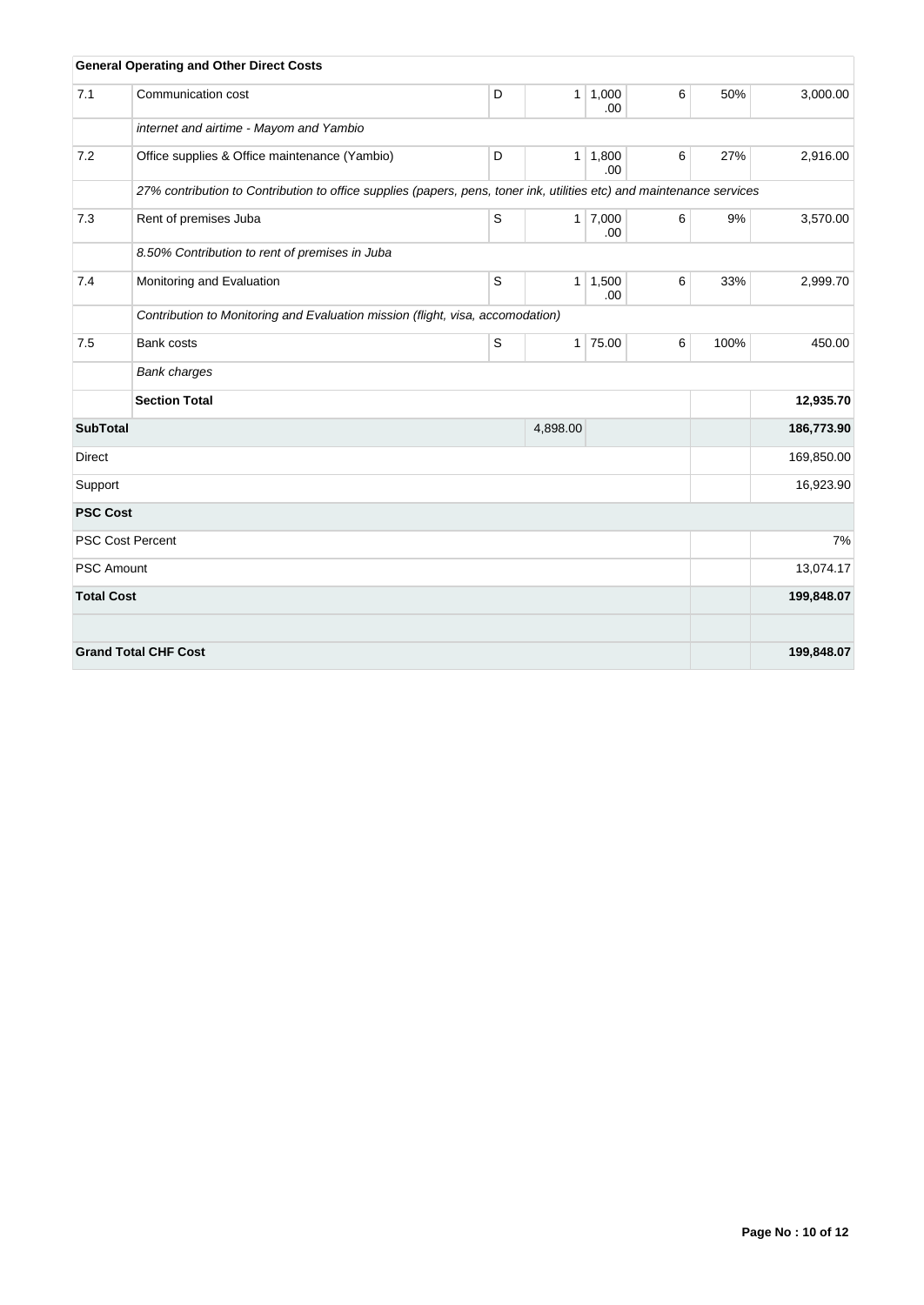|                   | <b>General Operating and Other Direct Costs</b>                                                                       |   |                |                       |   |      |            |
|-------------------|-----------------------------------------------------------------------------------------------------------------------|---|----------------|-----------------------|---|------|------------|
| 7.1               | Communication cost                                                                                                    | D | 1 <sup>1</sup> | 1,000<br>.00          | 6 | 50%  | 3,000.00   |
|                   | internet and airtime - Mayom and Yambio                                                                               |   |                |                       |   |      |            |
| 7.2               | Office supplies & Office maintenance (Yambio)                                                                         | D | 1              | 1,800<br>.00          | 6 | 27%  | 2,916.00   |
|                   | 27% contribution to Contribution to office supplies (papers, pens, toner ink, utilities etc) and maintenance services |   |                |                       |   |      |            |
| 7.3               | Rent of premises Juba                                                                                                 | S |                | $1 \mid 7,000$<br>.00 | 6 | 9%   | 3,570.00   |
|                   | 8.50% Contribution to rent of premises in Juba                                                                        |   |                |                       |   |      |            |
| 7.4               | Monitoring and Evaluation                                                                                             | S | 1              | 1,500<br>.00          | 6 | 33%  | 2,999.70   |
|                   | Contribution to Monitoring and Evaluation mission (flight, visa, accomodation)                                        |   |                |                       |   |      |            |
| 7.5               | Bank costs                                                                                                            | S |                | $1$ 75.00             | 6 | 100% | 450.00     |
|                   | <b>Bank charges</b>                                                                                                   |   |                |                       |   |      |            |
|                   | <b>Section Total</b>                                                                                                  |   |                |                       |   |      | 12,935.70  |
| <b>SubTotal</b>   |                                                                                                                       |   | 4,898.00       |                       |   |      | 186,773.90 |
| <b>Direct</b>     |                                                                                                                       |   |                |                       |   |      | 169,850.00 |
| Support           |                                                                                                                       |   | 16,923.90      |                       |   |      |            |
| <b>PSC Cost</b>   |                                                                                                                       |   |                |                       |   |      |            |
|                   | <b>PSC Cost Percent</b>                                                                                               |   |                |                       |   |      | 7%         |
| <b>PSC Amount</b> |                                                                                                                       |   |                |                       |   |      | 13,074.17  |
| <b>Total Cost</b> |                                                                                                                       |   |                |                       |   |      | 199,848.07 |
|                   | <b>Grand Total CHF Cost</b>                                                                                           |   |                |                       |   |      | 199,848.07 |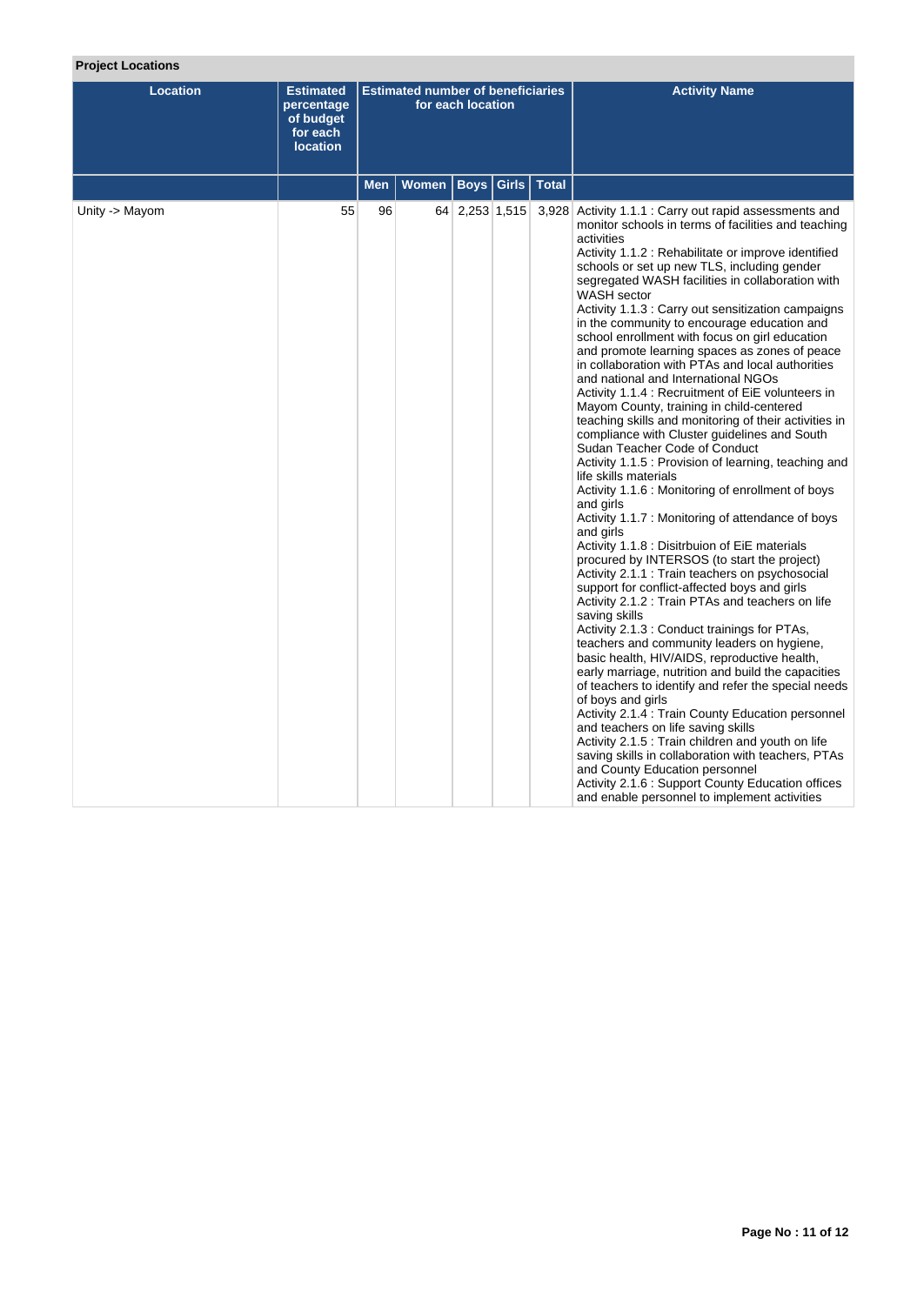# **Project Locations**

| <b>Location</b> | <b>Estimated</b><br>percentage<br>of budget<br>for each<br><b>location</b> | <b>Estimated number of beneficiaries</b><br>for each location |  |                |  | <b>Activity Name</b>                                                                                                                                                                                                                                                                                                                                                                                                                                                                                                                                                                                                                                                                                                                                                                                                                                                                                                                                                                                                                                                                                                                                                                                                                                                                                                                                                                                                                                                                                                                                                                                                                                                                                                                                                                                                                                                                                                                                                         |
|-----------------|----------------------------------------------------------------------------|---------------------------------------------------------------|--|----------------|--|------------------------------------------------------------------------------------------------------------------------------------------------------------------------------------------------------------------------------------------------------------------------------------------------------------------------------------------------------------------------------------------------------------------------------------------------------------------------------------------------------------------------------------------------------------------------------------------------------------------------------------------------------------------------------------------------------------------------------------------------------------------------------------------------------------------------------------------------------------------------------------------------------------------------------------------------------------------------------------------------------------------------------------------------------------------------------------------------------------------------------------------------------------------------------------------------------------------------------------------------------------------------------------------------------------------------------------------------------------------------------------------------------------------------------------------------------------------------------------------------------------------------------------------------------------------------------------------------------------------------------------------------------------------------------------------------------------------------------------------------------------------------------------------------------------------------------------------------------------------------------------------------------------------------------------------------------------------------------|
|                 | Women   Boys   Girls   Total<br>Men                                        |                                                               |  |                |  |                                                                                                                                                                                                                                                                                                                                                                                                                                                                                                                                                                                                                                                                                                                                                                                                                                                                                                                                                                                                                                                                                                                                                                                                                                                                                                                                                                                                                                                                                                                                                                                                                                                                                                                                                                                                                                                                                                                                                                              |
| Unity -> Mayom  | 55                                                                         | 96                                                            |  | 64 2,253 1,515 |  | 3,928 Activity 1.1.1 : Carry out rapid assessments and<br>monitor schools in terms of facilities and teaching<br>activities<br>Activity 1.1.2 : Rehabilitate or improve identified<br>schools or set up new TLS, including gender<br>segregated WASH facilities in collaboration with<br>WASH sector<br>Activity 1.1.3 : Carry out sensitization campaigns<br>in the community to encourage education and<br>school enrollment with focus on girl education<br>and promote learning spaces as zones of peace<br>in collaboration with PTAs and local authorities<br>and national and International NGOs<br>Activity 1.1.4 : Recruitment of EiE volunteers in<br>Mayom County, training in child-centered<br>teaching skills and monitoring of their activities in<br>compliance with Cluster guidelines and South<br>Sudan Teacher Code of Conduct<br>Activity 1.1.5 : Provision of learning, teaching and<br>life skills materials<br>Activity 1.1.6 : Monitoring of enrollment of boys<br>and girls<br>Activity 1.1.7 : Monitoring of attendance of boys<br>and girls<br>Activity 1.1.8 : Disitrbuion of EiE materials<br>procured by INTERSOS (to start the project)<br>Activity 2.1.1 : Train teachers on psychosocial<br>support for conflict-affected boys and girls<br>Activity 2.1.2 : Train PTAs and teachers on life<br>saving skills<br>Activity 2.1.3 : Conduct trainings for PTAs,<br>teachers and community leaders on hygiene,<br>basic health, HIV/AIDS, reproductive health,<br>early marriage, nutrition and build the capacities<br>of teachers to identify and refer the special needs<br>of boys and girls<br>Activity 2.1.4 : Train County Education personnel<br>and teachers on life saving skills<br>Activity 2.1.5 : Train children and youth on life<br>saving skills in collaboration with teachers, PTAs<br>and County Education personnel<br>Activity 2.1.6 : Support County Education offices<br>and enable personnel to implement activities |